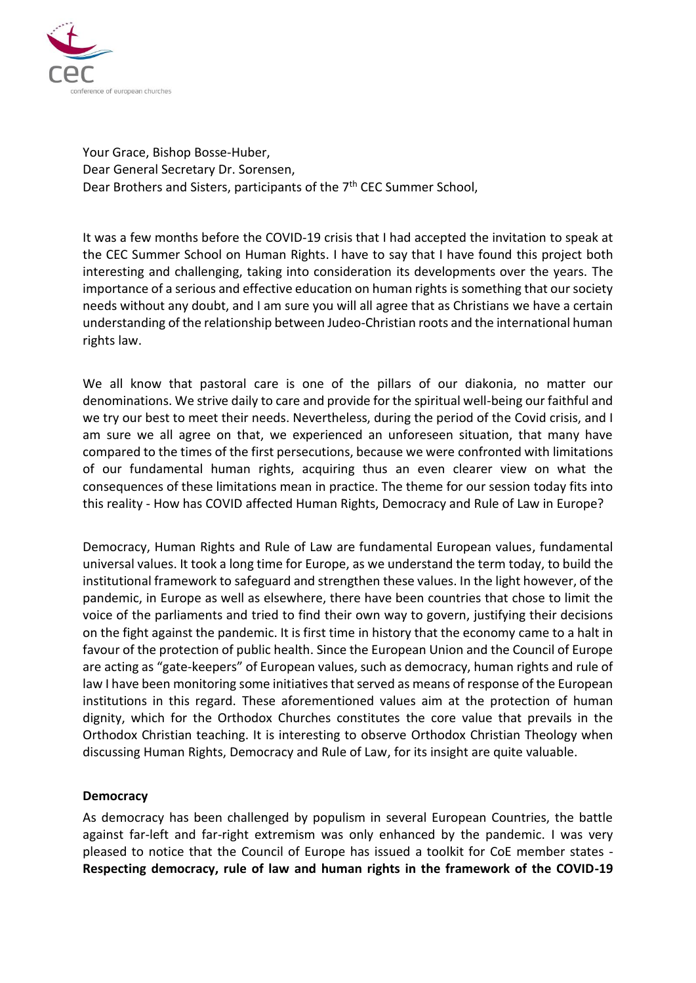

Your Grace, Bishop Bosse-Huber, Dear General Secretary Dr. Sorensen, Dear Brothers and Sisters, participants of the 7<sup>th</sup> CEC Summer School,

It was a few months before the COVID-19 crisis that I had accepted the invitation to speak at the CEC Summer School on Human Rights. I have to say that I have found this project both interesting and challenging, taking into consideration its developments over the years. The importance of a serious and effective education on human rights is something that our society needs without any doubt, and I am sure you will all agree that as Christians we have a certain understanding of the relationship between Judeo-Christian roots and the international human rights law.

We all know that pastoral care is one of the pillars of our diakonia, no matter our denominations. We strive daily to care and provide for the spiritual well-being our faithful and we try our best to meet their needs. Nevertheless, during the period of the Covid crisis, and I am sure we all agree on that, we experienced an unforeseen situation, that many have compared to the times of the first persecutions, because we were confronted with limitations of our fundamental human rights, acquiring thus an even clearer view on what the consequences of these limitations mean in practice. The theme for our session today fits into this reality - How has COVID affected Human Rights, Democracy and Rule of Law in Europe?

Democracy, Human Rights and Rule of Law are fundamental European values, fundamental universal values. It took a long time for Europe, as we understand the term today, to build the institutional framework to safeguard and strengthen these values. In the light however, of the pandemic, in Europe as well as elsewhere, there have been countries that chose to limit the voice of the parliaments and tried to find their own way to govern, justifying their decisions on the fight against the pandemic. It is first time in history that the economy came to a halt in favour of the protection of public health. Since the European Union and the Council of Europe are acting as "gate-keepers" of European values, such as democracy, human rights and rule of law I have been monitoring some initiatives that served as means of response of the European institutions in this regard. These aforementioned values aim at the protection of human dignity, which for the Orthodox Churches constitutes the core value that prevails in the Orthodox Christian teaching. It is interesting to observe Orthodox Christian Theology when discussing Human Rights, Democracy and Rule of Law, for its insight are quite valuable.

## **Democracy**

As democracy has been challenged by populism in several European Countries, the battle against far-left and far-right extremism was only enhanced by the pandemic. I was very pleased to notice that the Council of Europe has issued a toolkit for CoE member states - **Respecting democracy, rule of law and human rights in the framework of the COVID-19**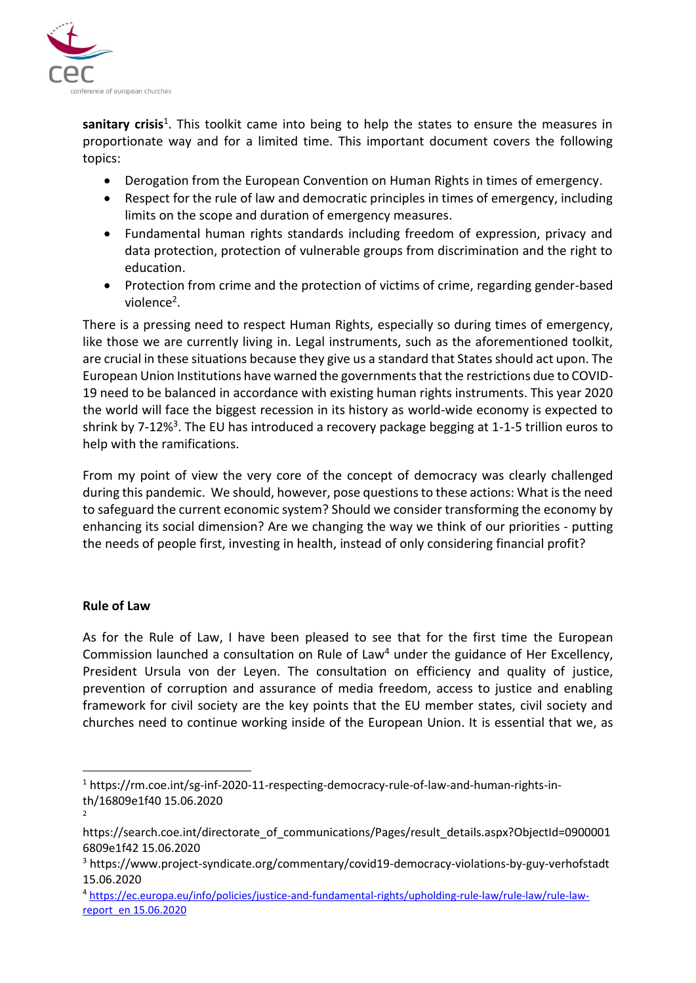

sanitary crisis<sup>1</sup>. This toolkit came into being to help the states to ensure the measures in proportionate way and for a limited time. This important document covers the following topics:

- Derogation from the European Convention on Human Rights in times of emergency.
- Respect for the rule of law and democratic principles in times of emergency, including limits on the scope and duration of emergency measures.
- Fundamental human rights standards including freedom of expression, privacy and data protection, protection of vulnerable groups from discrimination and the right to education.
- Protection from crime and the protection of victims of crime, regarding gender-based violence<sup>2</sup>.

There is a pressing need to respect Human Rights, especially so during times of emergency, like those we are currently living in. Legal instruments, such as the aforementioned toolkit, are crucial in these situations because they give us a standard that States should act upon. The European Union Institutions have warned the governments that the restrictions due to COVID-19 need to be balanced in accordance with existing human rights instruments. This year 2020 the world will face the biggest recession in its history as world-wide economy is expected to shrink by 7-12%<sup>3</sup>. The EU has introduced a recovery package begging at 1-1-5 trillion euros to help with the ramifications.

From my point of view the very core of the concept of democracy was clearly challenged during this pandemic. We should, however, pose questions to these actions: What is the need to safeguard the current economic system? Should we consider transforming the economy by enhancing its social dimension? Are we changing the way we think of our priorities - putting the needs of people first, investing in health, instead of only considering financial profit?

## **Rule of Law**

2

As for the Rule of Law, I have been pleased to see that for the first time the European Commission launched a consultation on Rule of Law<sup>4</sup> under the guidance of Her Excellency, President Ursula von der Leyen. The consultation on efficiency and quality of justice, prevention of corruption and assurance of media freedom, access to justice and enabling framework for civil society are the key points that the EU member states, civil society and churches need to continue working inside of the European Union. It is essential that we, as

<sup>&</sup>lt;sup>1</sup> [https://rm.coe.int/sg-inf-2020-11-respecting-democracy-rule-of-law-and-human-rights-in](https://rm.coe.int/sg-inf-2020-11-respecting-democracy-rule-of-law-and-human-rights-in-th/16809e1f40%2015.06.2020)[th/16809e1f40 15.06.2020](https://rm.coe.int/sg-inf-2020-11-respecting-democracy-rule-of-law-and-human-rights-in-th/16809e1f40%2015.06.2020)

[https://search.coe.int/directorate\\_of\\_communications/Pages/result\\_details.aspx?ObjectId=0900001](https://search.coe.int/directorate_of_communications/Pages/result_details.aspx?ObjectId=09000016809e1f42) [6809e1f42](https://search.coe.int/directorate_of_communications/Pages/result_details.aspx?ObjectId=09000016809e1f42) 15.06.2020

<sup>3</sup> <https://www.project-syndicate.org/commentary/covid19-democracy-violations-by-guy-verhofstadt> 15.06.2020

<sup>4</sup> [https://ec.europa.eu/info/policies/justice-and-fundamental-rights/upholding-rule-law/rule-law/rule-law](https://ec.europa.eu/info/policies/justice-and-fundamental-rights/upholding-rule-law/rule-law/rule-law-report_en%2015.06.2020)[report\\_en 15.06.2020](https://ec.europa.eu/info/policies/justice-and-fundamental-rights/upholding-rule-law/rule-law/rule-law-report_en%2015.06.2020)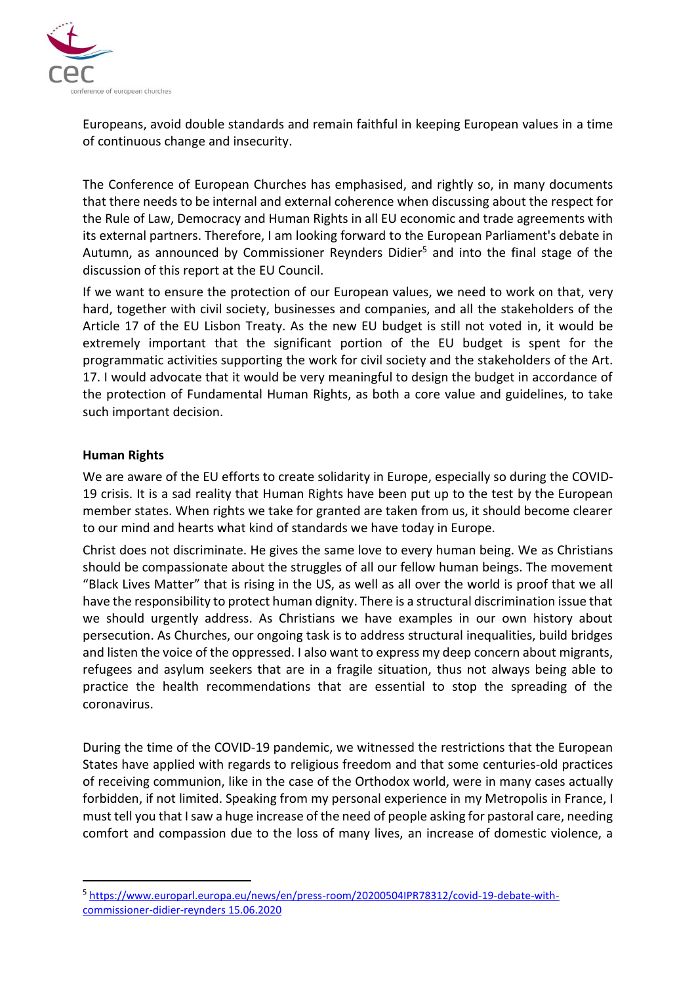

Europeans, avoid double standards and remain faithful in keeping European values in a time of continuous change and insecurity.

The Conference of European Churches has emphasised, and rightly so, in many documents that there needs to be internal and external coherence when discussing about the respect for the Rule of Law, Democracy and Human Rights in all EU economic and trade agreements with its external partners. Therefore, I am looking forward to the European Parliament's debate in Autumn, as announced by Commissioner Reynders Didier<sup>5</sup> and into the final stage of the discussion of this report at the EU Council.

If we want to ensure the protection of our European values, we need to work on that, very hard, together with civil society, businesses and companies, and all the stakeholders of the Article 17 of the EU Lisbon Treaty. As the new EU budget is still not voted in, it would be extremely important that the significant portion of the EU budget is spent for the programmatic activities supporting the work for civil society and the stakeholders of the Art. 17. I would advocate that it would be very meaningful to design the budget in accordance of the protection of Fundamental Human Rights, as both a core value and guidelines, to take such important decision.

## **Human Rights**

We are aware of the EU efforts to create solidarity in Europe, especially so during the COVID-19 crisis. It is a sad reality that Human Rights have been put up to the test by the European member states. When rights we take for granted are taken from us, it should become clearer to our mind and hearts what kind of standards we have today in Europe.

Christ does not discriminate. He gives the same love to every human being. We as Christians should be compassionate about the struggles of all our fellow human beings. The movement "Black Lives Matter" that is rising in the US, as well as all over the world is proof that we all have the responsibility to protect human dignity. There is a structural discrimination issue that we should urgently address. As Christians we have examples in our own history about persecution. As Churches, our ongoing task is to address structural inequalities, build bridges and listen the voice of the oppressed. I also want to express my deep concern about migrants, refugees and asylum seekers that are in a fragile situation, thus not always being able to practice the health recommendations that are essential to stop the spreading of the coronavirus.

During the time of the COVID-19 pandemic, we witnessed the restrictions that the European States have applied with regards to religious freedom and that some centuries-old practices of receiving communion, like in the case of the Orthodox world, were in many cases actually forbidden, if not limited. Speaking from my personal experience in my Metropolis in France, I must tell you that I saw a huge increase of the need of people asking for pastoral care, needing comfort and compassion due to the loss of many lives, an increase of domestic violence, a

<sup>&</sup>lt;sup>5</sup> [https://www.europarl.europa.eu/news/en/press-room/20200504IPR78312/covid-19-debate-with](https://www.europarl.europa.eu/news/en/press-room/20200504IPR78312/covid-19-debate-with-commissioner-didier-reynders%2015.06.2020)[commissioner-didier-reynders 15.06.2020](https://www.europarl.europa.eu/news/en/press-room/20200504IPR78312/covid-19-debate-with-commissioner-didier-reynders%2015.06.2020)